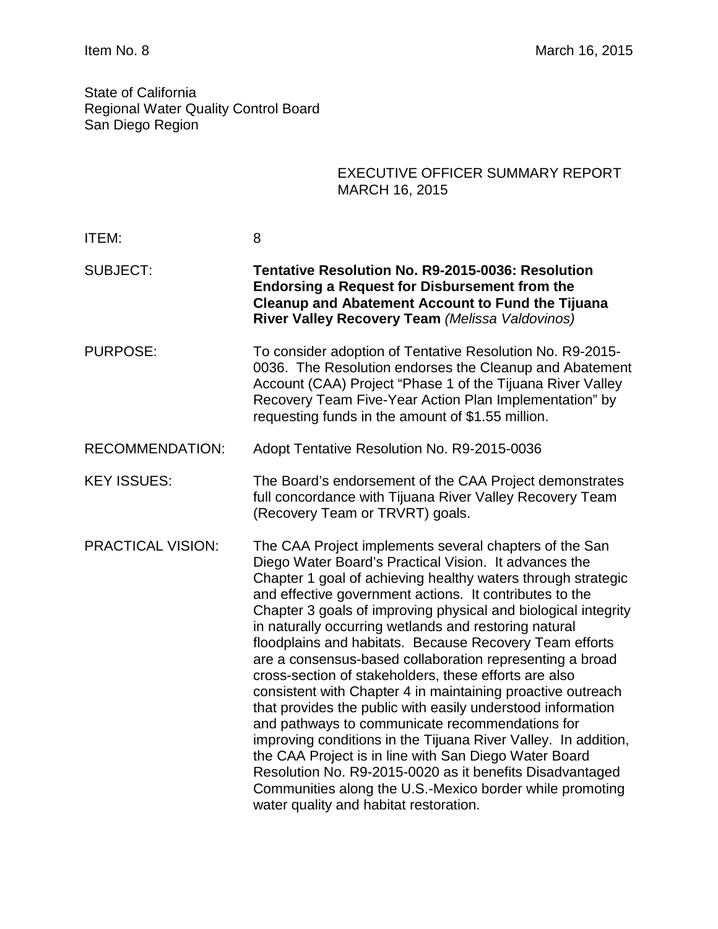State of California Regional Water Quality Control Board San Diego Region

|                          | <b>EXECUTIVE OFFICER SUMMARY REPORT</b><br><b>MARCH 16, 2015</b>                                                                                                                                                                                                                                                                                                                                                                                                                                                                                                                                                                                                                                                                                                                                                                                                                                                                                                                                                                    |
|--------------------------|-------------------------------------------------------------------------------------------------------------------------------------------------------------------------------------------------------------------------------------------------------------------------------------------------------------------------------------------------------------------------------------------------------------------------------------------------------------------------------------------------------------------------------------------------------------------------------------------------------------------------------------------------------------------------------------------------------------------------------------------------------------------------------------------------------------------------------------------------------------------------------------------------------------------------------------------------------------------------------------------------------------------------------------|
| ITEM:                    | 8                                                                                                                                                                                                                                                                                                                                                                                                                                                                                                                                                                                                                                                                                                                                                                                                                                                                                                                                                                                                                                   |
| <b>SUBJECT:</b>          | <b>Tentative Resolution No. R9-2015-0036: Resolution</b><br><b>Endorsing a Request for Disbursement from the</b><br><b>Cleanup and Abatement Account to Fund the Tijuana</b><br>River Valley Recovery Team (Melissa Valdovinos)                                                                                                                                                                                                                                                                                                                                                                                                                                                                                                                                                                                                                                                                                                                                                                                                     |
| <b>PURPOSE:</b>          | To consider adoption of Tentative Resolution No. R9-2015-<br>0036. The Resolution endorses the Cleanup and Abatement<br>Account (CAA) Project "Phase 1 of the Tijuana River Valley<br>Recovery Team Five-Year Action Plan Implementation" by<br>requesting funds in the amount of \$1.55 million.                                                                                                                                                                                                                                                                                                                                                                                                                                                                                                                                                                                                                                                                                                                                   |
| <b>RECOMMENDATION:</b>   | Adopt Tentative Resolution No. R9-2015-0036                                                                                                                                                                                                                                                                                                                                                                                                                                                                                                                                                                                                                                                                                                                                                                                                                                                                                                                                                                                         |
| <b>KEY ISSUES:</b>       | The Board's endorsement of the CAA Project demonstrates<br>full concordance with Tijuana River Valley Recovery Team<br>(Recovery Team or TRVRT) goals.                                                                                                                                                                                                                                                                                                                                                                                                                                                                                                                                                                                                                                                                                                                                                                                                                                                                              |
| <b>PRACTICAL VISION:</b> | The CAA Project implements several chapters of the San<br>Diego Water Board's Practical Vision. It advances the<br>Chapter 1 goal of achieving healthy waters through strategic<br>and effective government actions. It contributes to the<br>Chapter 3 goals of improving physical and biological integrity<br>in naturally occurring wetlands and restoring natural<br>floodplains and habitats. Because Recovery Team efforts<br>are a consensus-based collaboration representing a broad<br>cross-section of stakeholders, these efforts are also<br>consistent with Chapter 4 in maintaining proactive outreach<br>that provides the public with easily understood information<br>and pathways to communicate recommendations for<br>improving conditions in the Tijuana River Valley. In addition,<br>the CAA Project is in line with San Diego Water Board<br>Resolution No. R9-2015-0020 as it benefits Disadvantaged<br>Communities along the U.S.-Mexico border while promoting<br>water quality and habitat restoration. |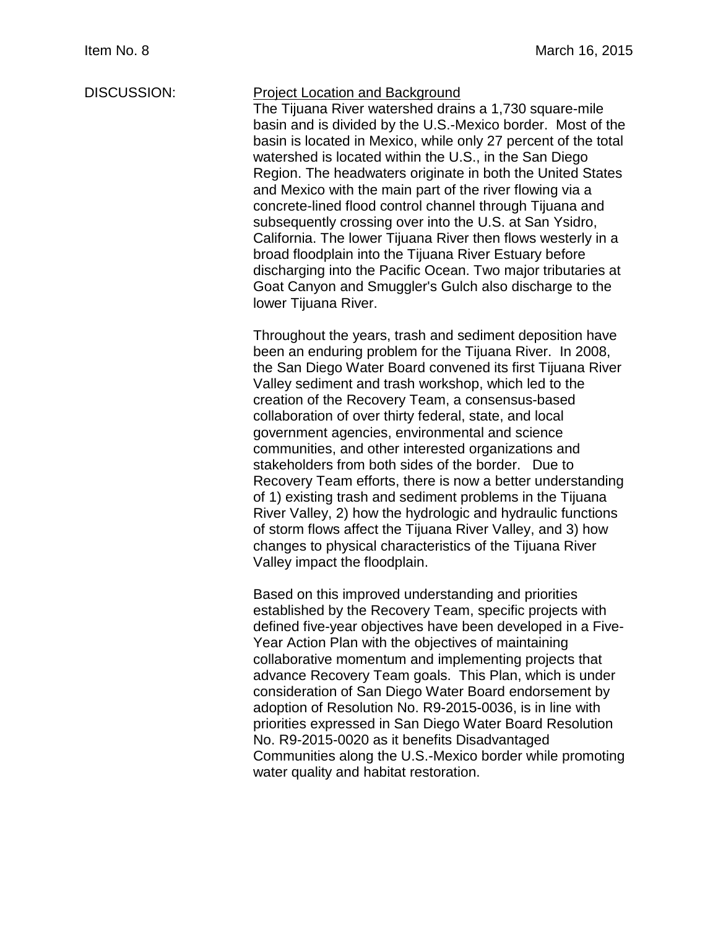# DISCUSSION: Project Location and Background

The Tijuana River watershed drains a 1,730 square-mile basin and is divided by the U.S.-Mexico border. Most of the basin is located in Mexico, while only 27 percent of the total watershed is located within the U.S., in the San Diego Region. The headwaters originate in both the United States and Mexico with the main part of the river flowing via a concrete-lined flood control channel through Tijuana and subsequently crossing over into the U.S. at San Ysidro, California. The lower Tijuana River then flows westerly in a broad floodplain into the Tijuana River Estuary before discharging into the Pacific Ocean. Two major tributaries at Goat Canyon and Smuggler's Gulch also discharge to the lower Tijuana River.

Throughout the years, trash and sediment deposition have been an enduring problem for the Tijuana River. In 2008, the San Diego Water Board convened its first Tijuana River Valley sediment and trash workshop, which led to the creation of the Recovery Team, a consensus-based collaboration of over thirty federal, state, and local government agencies, environmental and science communities, and other interested organizations and stakeholders from both sides of the border. Due to Recovery Team efforts, there is now a better understanding of 1) existing trash and sediment problems in the Tijuana River Valley, 2) how the hydrologic and hydraulic functions of storm flows affect the Tijuana River Valley, and 3) how changes to physical characteristics of the Tijuana River Valley impact the floodplain.

Based on this improved understanding and priorities established by the Recovery Team, specific projects with defined five-year objectives have been developed in a Five-Year Action Plan with the objectives of maintaining collaborative momentum and implementing projects that advance Recovery Team goals. This Plan, which is under consideration of San Diego Water Board endorsement by adoption of Resolution No. R9-2015-0036, is in line with priorities expressed in San Diego Water Board Resolution No. R9-2015-0020 as it benefits Disadvantaged Communities along the U.S.-Mexico border while promoting water quality and habitat restoration.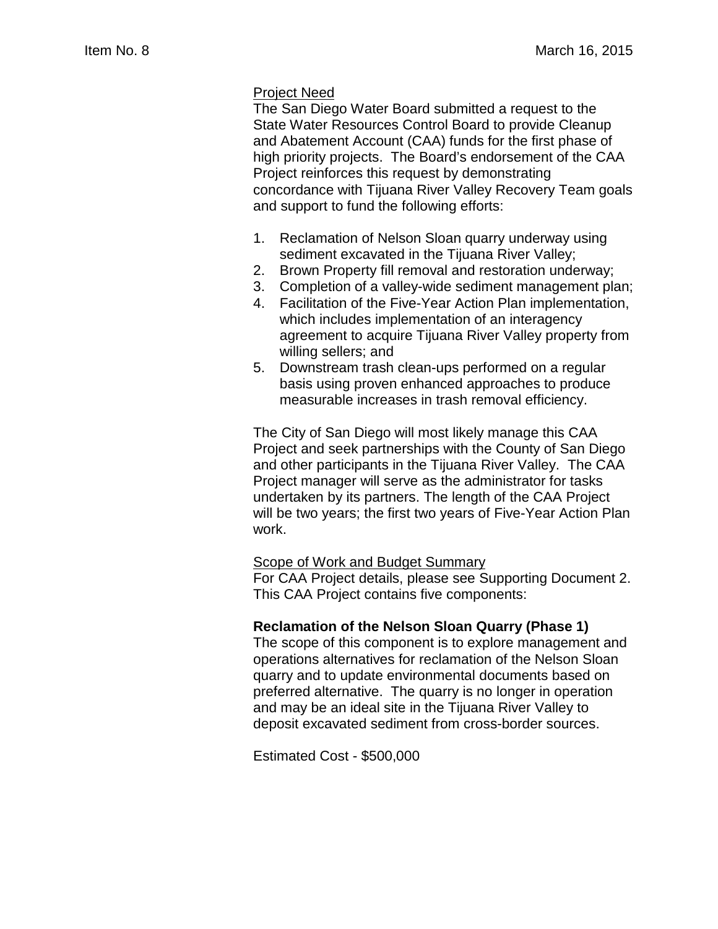### Project Need

The San Diego Water Board submitted a request to the State Water Resources Control Board to provide Cleanup and Abatement Account (CAA) funds for the first phase of high priority projects. The Board's endorsement of the CAA Project reinforces this request by demonstrating concordance with Tijuana River Valley Recovery Team goals and support to fund the following efforts:

- 1. Reclamation of Nelson Sloan quarry underway using sediment excavated in the Tijuana River Valley;
- 2. Brown Property fill removal and restoration underway;
- 3. Completion of a valley-wide sediment management plan;
- 4. Facilitation of the Five-Year Action Plan implementation, which includes implementation of an interagency agreement to acquire Tijuana River Valley property from willing sellers; and
- 5. Downstream trash clean-ups performed on a regular basis using proven enhanced approaches to produce measurable increases in trash removal efficiency.

The City of San Diego will most likely manage this CAA Project and seek partnerships with the County of San Diego and other participants in the Tijuana River Valley. The CAA Project manager will serve as the administrator for tasks undertaken by its partners. The length of the CAA Project will be two years; the first two years of Five-Year Action Plan work.

## **Scope of Work and Budget Summarv**

For CAA Project details, please see Supporting Document 2. This CAA Project contains five components:

#### **Reclamation of the Nelson Sloan Quarry (Phase 1)**

The scope of this component is to explore management and operations alternatives for reclamation of the Nelson Sloan quarry and to update environmental documents based on preferred alternative. The quarry is no longer in operation and may be an ideal site in the Tijuana River Valley to deposit excavated sediment from cross-border sources.

Estimated Cost - \$500,000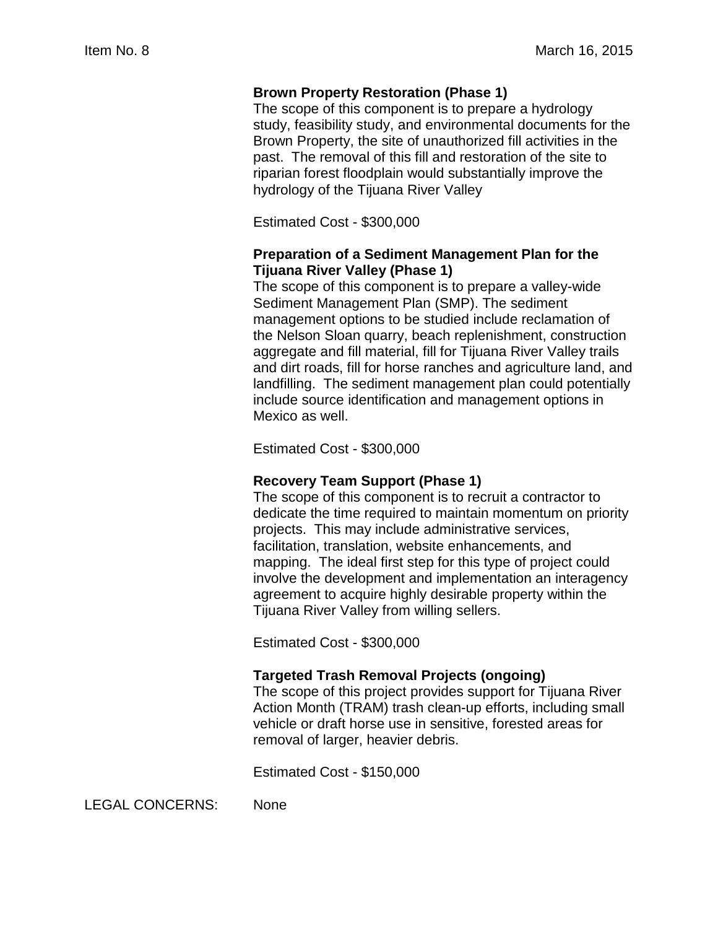## **Brown Property Restoration (Phase 1)**

The scope of this component is to prepare a hydrology study, feasibility study, and environmental documents for the Brown Property, the site of unauthorized fill activities in the past. The removal of this fill and restoration of the site to riparian forest floodplain would substantially improve the hydrology of the Tijuana River Valley

Estimated Cost - \$300,000

## **Preparation of a Sediment Management Plan for the Tijuana River Valley (Phase 1)**

The scope of this component is to prepare a valley-wide Sediment Management Plan (SMP). The sediment management options to be studied include reclamation of the Nelson Sloan quarry, beach replenishment, construction aggregate and fill material, fill for Tijuana River Valley trails and dirt roads, fill for horse ranches and agriculture land, and landfilling. The sediment management plan could potentially include source identification and management options in Mexico as well.

Estimated Cost - \$300,000

## **Recovery Team Support (Phase 1)**

The scope of this component is to recruit a contractor to dedicate the time required to maintain momentum on priority projects. This may include administrative services, facilitation, translation, website enhancements, and mapping. The ideal first step for this type of project could involve the development and implementation an interagency agreement to acquire highly desirable property within the Tijuana River Valley from willing sellers.

Estimated Cost - \$300,000

## **Targeted Trash Removal Projects (ongoing)**

The scope of this project provides support for Tijuana River Action Month (TRAM) trash clean-up efforts, including small vehicle or draft horse use in sensitive, forested areas for removal of larger, heavier debris.

Estimated Cost - \$150,000

LEGAL CONCERNS: None